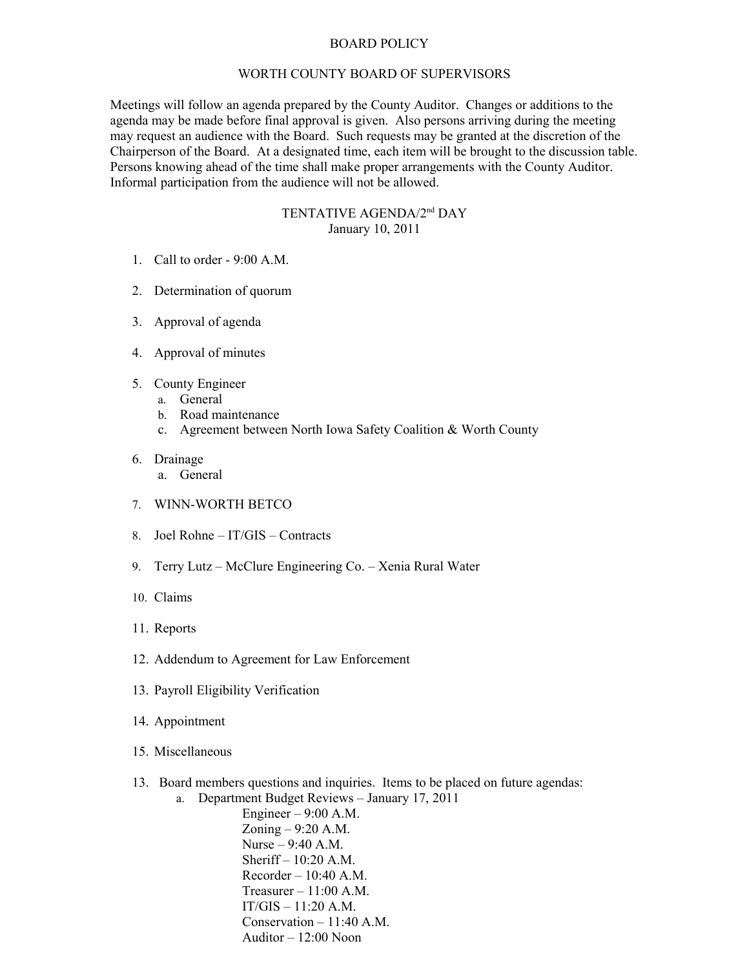## BOARD POLICY

## WORTH COUNTY BOARD OF SUPERVISORS

Meetings will follow an agenda prepared by the County Auditor. Changes or additions to the agenda may be made before final approval is given. Also persons arriving during the meeting may request an audience with the Board. Such requests may be granted at the discretion of the Chairperson of the Board. At a designated time, each item will be brought to the discussion table. Persons knowing ahead of the time shall make proper arrangements with the County Auditor. Informal participation from the audience will not be allowed.

## TENTATIVE AGENDA/2nd DAY January 10, 2011

- 1. Call to order 9:00 A.M.
- 2. Determination of quorum
- 3. Approval of agenda
- 4. Approval of minutes
- 5. County Engineer
	- a. General
	- b. Road maintenance
	- c. Agreement between North Iowa Safety Coalition & Worth County
- 6. Drainage
	- a. General
- 7. WINN-WORTH BETCO
- 8. Joel Rohne IT/GIS Contracts
- 9. Terry Lutz McClure Engineering Co. Xenia Rural Water
- 10. Claims
- 11. Reports
- 12. Addendum to Agreement for Law Enforcement
- 13. Payroll Eligibility Verification
- 14. Appointment
- 15. Miscellaneous
- 13. Board members questions and inquiries. Items to be placed on future agendas:
	- a. Department Budget Reviews January 17, 2011

Engineer  $-9:00$  A.M. Zoning – 9:20 A.M. Nurse – 9:40 A.M. Sheriff – 10:20 A.M.  $Recorder - 10:40$  A.M. Treasurer  $-11:00$  A.M. IT/GIS – 11:20 A.M. Conservation – 11:40 A.M. Auditor  $-12:00$  Noon